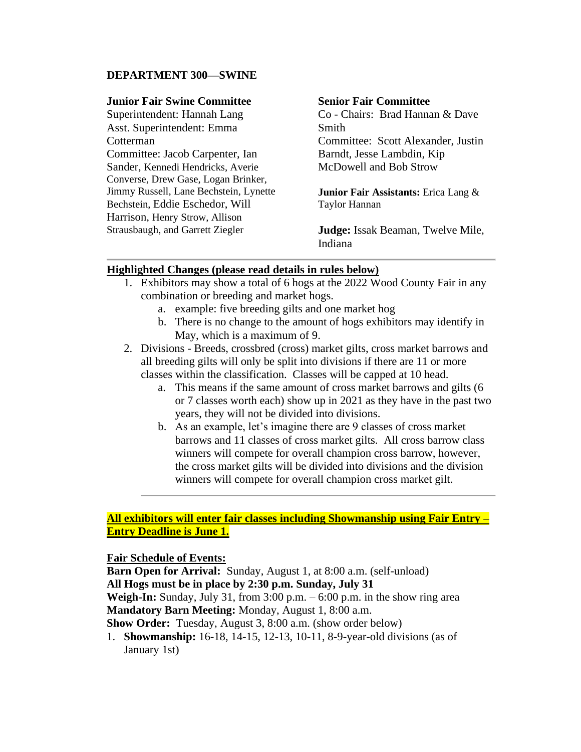#### **DEPARTMENT 300—SWINE**

#### **Junior Fair Swine Committee**

Superintendent: Hannah Lang Asst. Superintendent: Emma **Cotterman** Committee: Jacob Carpenter, Ian Sander, Kennedi Hendricks, Averie Converse, Drew Gase, Logan Brinker, Jimmy Russell, Lane Bechstein, Lynette Bechstein, Eddie Eschedor, Will Harrison, Henry Strow, Allison Strausbaugh, and Garrett Ziegler

#### **Senior Fair Committee**

Co - Chairs: Brad Hannan & Dave Smith Committee: Scott Alexander, Justin Barndt, Jesse Lambdin, Kip McDowell and Bob Strow

**Junior Fair Assistants:** Erica Lang & Taylor Hannan

**Judge:** Issak Beaman, Twelve Mile, Indiana

#### **Highlighted Changes (please read details in rules below)**

- 1. Exhibitors may show a total of 6 hogs at the 2022 Wood County Fair in any combination or breeding and market hogs.
	- a. example: five breeding gilts and one market hog
	- b. There is no change to the amount of hogs exhibitors may identify in May, which is a maximum of 9.
- 2. Divisions Breeds, crossbred (cross) market gilts, cross market barrows and all breeding gilts will only be split into divisions if there are 11 or more classes within the classification. Classes will be capped at 10 head.
	- a. This means if the same amount of cross market barrows and gilts (6 or 7 classes worth each) show up in 2021 as they have in the past two years, they will not be divided into divisions.
	- b. As an example, let's imagine there are 9 classes of cross market barrows and 11 classes of cross market gilts. All cross barrow class winners will compete for overall champion cross barrow, however, the cross market gilts will be divided into divisions and the division winners will compete for overall champion cross market gilt.

### **All exhibitors will enter fair classes including Showmanship using Fair Entry – Entry Deadline is June 1.**

#### **Fair Schedule of Events:**

**Barn Open for Arrival:** Sunday, August 1, at 8:00 a.m. (self-unload) **All Hogs must be in place by 2:30 p.m. Sunday, July 31**

**Weigh-In:** Sunday, July 31, from 3:00 p.m. – 6:00 p.m. in the show ring area **Mandatory Barn Meeting:** Monday, August 1, 8:00 a.m.

**Show Order:** Tuesday, August 3, 8:00 a.m. (show order below)

1. **Showmanship:** 16-18, 14-15, 12-13, 10-11, 8-9-year-old divisions (as of January 1st)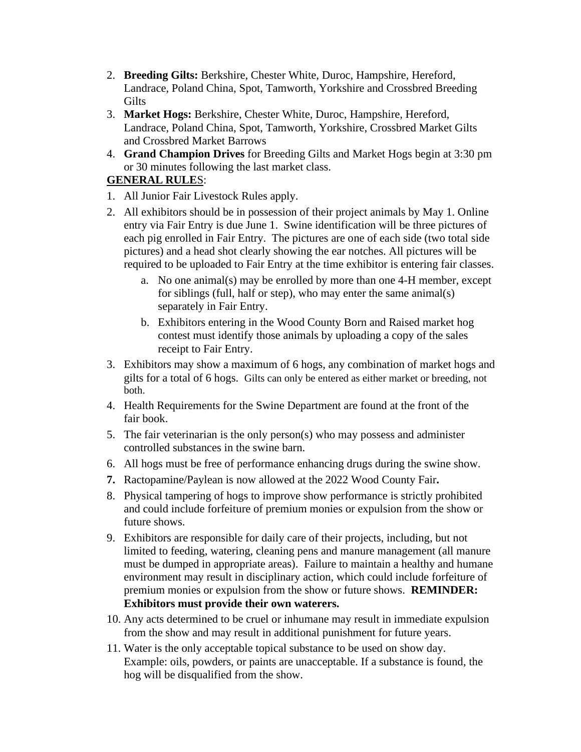- 2. **Breeding Gilts:** Berkshire, Chester White, Duroc, Hampshire, Hereford, Landrace, Poland China, Spot, Tamworth, Yorkshire and Crossbred Breeding Gilts
- 3. **Market Hogs:** Berkshire, Chester White, Duroc, Hampshire, Hereford, Landrace, Poland China, Spot, Tamworth, Yorkshire, Crossbred Market Gilts and Crossbred Market Barrows
- 4. **Grand Champion Drives** for Breeding Gilts and Market Hogs begin at 3:30 pm or 30 minutes following the last market class.

# **GENERAL RULE**S:

- 1. All Junior Fair Livestock Rules apply.
- 2. All exhibitors should be in possession of their project animals by May 1. Online entry via Fair Entry is due June 1. Swine identification will be three pictures of each pig enrolled in Fair Entry. The pictures are one of each side (two total side pictures) and a head shot clearly showing the ear notches. All pictures will be required to be uploaded to Fair Entry at the time exhibitor is entering fair classes.
	- a. No one animal(s) may be enrolled by more than one 4-H member, except for siblings (full, half or step), who may enter the same animal(s) separately in Fair Entry.
	- b. Exhibitors entering in the Wood County Born and Raised market hog contest must identify those animals by uploading a copy of the sales receipt to Fair Entry.
- 3. Exhibitors may show a maximum of 6 hogs, any combination of market hogs and gilts for a total of 6 hogs. Gilts can only be entered as either market or breeding, not both.
- 4. Health Requirements for the Swine Department are found at the front of the fair book.
- 5. The fair veterinarian is the only person(s) who may possess and administer controlled substances in the swine barn.
- 6. All hogs must be free of performance enhancing drugs during the swine show.
- **7.** Ractopamine/Paylean is now allowed at the 2022 Wood County Fair**.**
- 8. Physical tampering of hogs to improve show performance is strictly prohibited and could include forfeiture of premium monies or expulsion from the show or future shows.
- 9. Exhibitors are responsible for daily care of their projects, including, but not limited to feeding, watering, cleaning pens and manure management (all manure must be dumped in appropriate areas). Failure to maintain a healthy and humane environment may result in disciplinary action, which could include forfeiture of premium monies or expulsion from the show or future shows. **REMINDER: Exhibitors must provide their own waterers.**
- 10. Any acts determined to be cruel or inhumane may result in immediate expulsion from the show and may result in additional punishment for future years.
- 11. Water is the only acceptable topical substance to be used on show day. Example: oils, powders, or paints are unacceptable. If a substance is found, the hog will be disqualified from the show.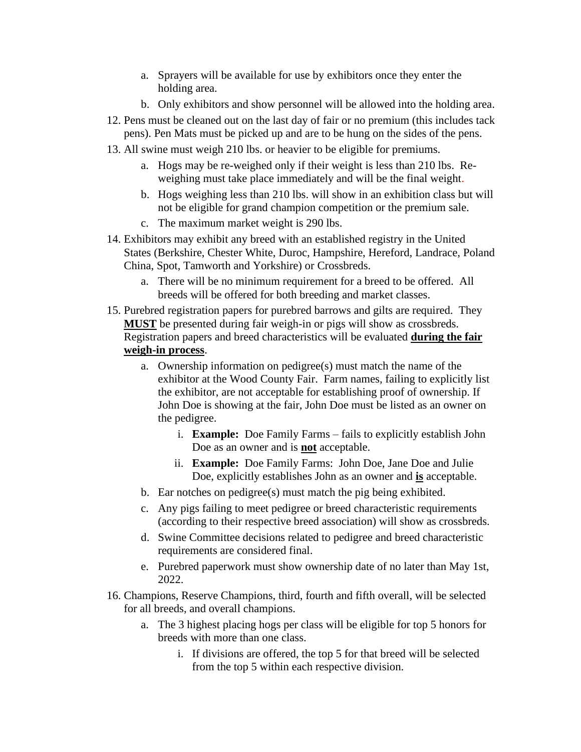- a. Sprayers will be available for use by exhibitors once they enter the holding area.
- b. Only exhibitors and show personnel will be allowed into the holding area.
- 12. Pens must be cleaned out on the last day of fair or no premium (this includes tack pens). Pen Mats must be picked up and are to be hung on the sides of the pens.
- 13. All swine must weigh 210 lbs. or heavier to be eligible for premiums.
	- a. Hogs may be re-weighed only if their weight is less than 210 lbs. Reweighing must take place immediately and will be the final weight.
	- b. Hogs weighing less than 210 lbs. will show in an exhibition class but will not be eligible for grand champion competition or the premium sale.
	- c. The maximum market weight is 290 lbs.
- 14. Exhibitors may exhibit any breed with an established registry in the United States (Berkshire, Chester White, Duroc, Hampshire, Hereford, Landrace, Poland China, Spot, Tamworth and Yorkshire) or Crossbreds.
	- a. There will be no minimum requirement for a breed to be offered. All breeds will be offered for both breeding and market classes.
- 15. Purebred registration papers for purebred barrows and gilts are required. They **MUST** be presented during fair weigh-in or pigs will show as crossbreds. Registration papers and breed characteristics will be evaluated **during the fair weigh-in process**.
	- a. Ownership information on pedigree(s) must match the name of the exhibitor at the Wood County Fair. Farm names, failing to explicitly list the exhibitor, are not acceptable for establishing proof of ownership. If John Doe is showing at the fair, John Doe must be listed as an owner on the pedigree.
		- i. **Example:** Doe Family Farms fails to explicitly establish John Doe as an owner and is **not** acceptable.
		- ii. **Example:** Doe Family Farms: John Doe, Jane Doe and Julie Doe, explicitly establishes John as an owner and **is** acceptable.
	- b. Ear notches on pedigree(s) must match the pig being exhibited.
	- c. Any pigs failing to meet pedigree or breed characteristic requirements (according to their respective breed association) will show as crossbreds.
	- d. Swine Committee decisions related to pedigree and breed characteristic requirements are considered final.
	- e. Purebred paperwork must show ownership date of no later than May 1st, 2022.
- 16. Champions, Reserve Champions, third, fourth and fifth overall, will be selected for all breeds, and overall champions.
	- a. The 3 highest placing hogs per class will be eligible for top 5 honors for breeds with more than one class.
		- i. If divisions are offered, the top 5 for that breed will be selected from the top 5 within each respective division.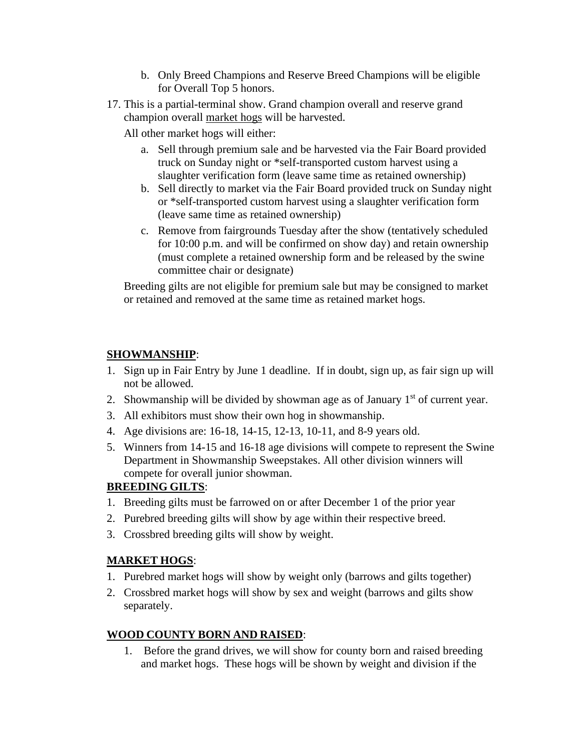- b. Only Breed Champions and Reserve Breed Champions will be eligible for Overall Top 5 honors.
- 17. This is a partial-terminal show. Grand champion overall and reserve grand champion overall market hogs will be harvested.

All other market hogs will either:

- a. Sell through premium sale and be harvested via the Fair Board provided truck on Sunday night or \*self-transported custom harvest using a slaughter verification form (leave same time as retained ownership)
- b. Sell directly to market via the Fair Board provided truck on Sunday night or \*self-transported custom harvest using a slaughter verification form (leave same time as retained ownership)
- c. Remove from fairgrounds Tuesday after the show (tentatively scheduled for 10:00 p.m. and will be confirmed on show day) and retain ownership (must complete a retained ownership form and be released by the swine committee chair or designate)

Breeding gilts are not eligible for premium sale but may be consigned to market or retained and removed at the same time as retained market hogs.

# **SHOWMANSHIP**:

- 1. Sign up in Fair Entry by June 1 deadline. If in doubt, sign up, as fair sign up will not be allowed.
- 2. Showmanship will be divided by showman age as of January  $1<sup>st</sup>$  of current year.
- 3. All exhibitors must show their own hog in showmanship.
- 4. Age divisions are: 16-18, 14-15, 12-13, 10-11, and 8-9 years old.
- 5. Winners from 14-15 and 16-18 age divisions will compete to represent the Swine Department in Showmanship Sweepstakes. All other division winners will compete for overall junior showman.

# **BREEDING GILTS**:

- 1. Breeding gilts must be farrowed on or after December 1 of the prior year
- 2. Purebred breeding gilts will show by age within their respective breed.
- 3. Crossbred breeding gilts will show by weight.

# **MARKET HOGS**:

- 1. Purebred market hogs will show by weight only (barrows and gilts together)
- 2. Crossbred market hogs will show by sex and weight (barrows and gilts show separately.

# **WOOD COUNTY BORN AND RAISED**:

1. Before the grand drives, we will show for county born and raised breeding and market hogs. These hogs will be shown by weight and division if the